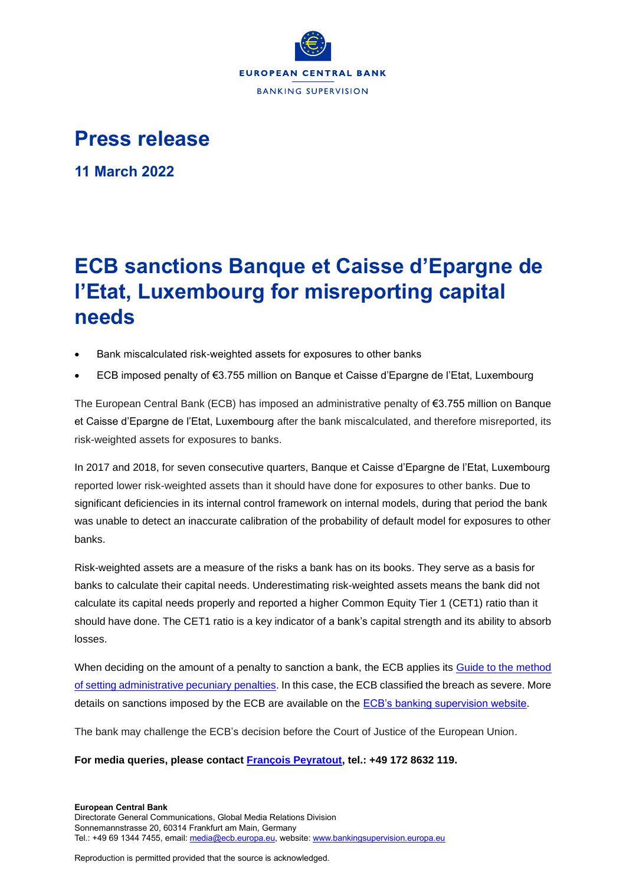

## **Press release**

**11 March 2022**

## **ECB sanctions Banque et Caisse d'Epargne de l'Etat, Luxembourg for misreporting capital needs**

- Bank miscalculated risk-weighted assets for exposures to other banks
- ECB imposed penalty of €3.755 million on Banque et Caisse d'Epargne de l'Etat, Luxembourg

The European Central Bank (ECB) has imposed an administrative penalty of €3.755 million on Banque et Caisse d'Epargne de l'Etat, Luxembourg after the bank miscalculated, and therefore misreported, its risk-weighted assets for exposures to banks.

In 2017 and 2018, for seven consecutive quarters, Banque et Caisse d'Epargne de l'Etat, Luxembourg reported lower risk-weighted assets than it should have done for exposures to other banks. Due to significant deficiencies in its internal control framework on internal models, during that period the bank was unable to detect an inaccurate calibration of the probability of default model for exposures to other banks.

Risk-weighted assets are a measure of the risks a bank has on its books. They serve as a basis for banks to calculate their capital needs. Underestimating risk-weighted assets means the bank did not calculate its capital needs properly and reported a higher Common Equity Tier 1 (CET1) ratio than it should have done. The CET1 ratio is a key indicator of a bank's capital strength and its ability to absorb losses.

When deciding on the amount of a penalty to sanction a bank, the ECB applies its Guide to the method [of setting administrative pecuniary penalties.](https://www.bankingsupervision.europa.eu/ecb/pub/pdf/ssm.guidetothemethodofsettingadministrativepecuniarypenalties_202103~400cbafa55.en.pdf) In this case, the ECB classified the breach as severe. More details on sanctions imposed by the ECB are available on the [ECB's banking supervision website.](https://www.bankingsupervision.europa.eu/banking/sanctions/html/index.en.html)

The bank may challenge the ECB's decision before the Court of Justice of the European Union.

**For media queries, please contact [François Peyratout,](mailto:francois.peyratout@ecb.europa.eu) tel.: +49 172 8632 119.**